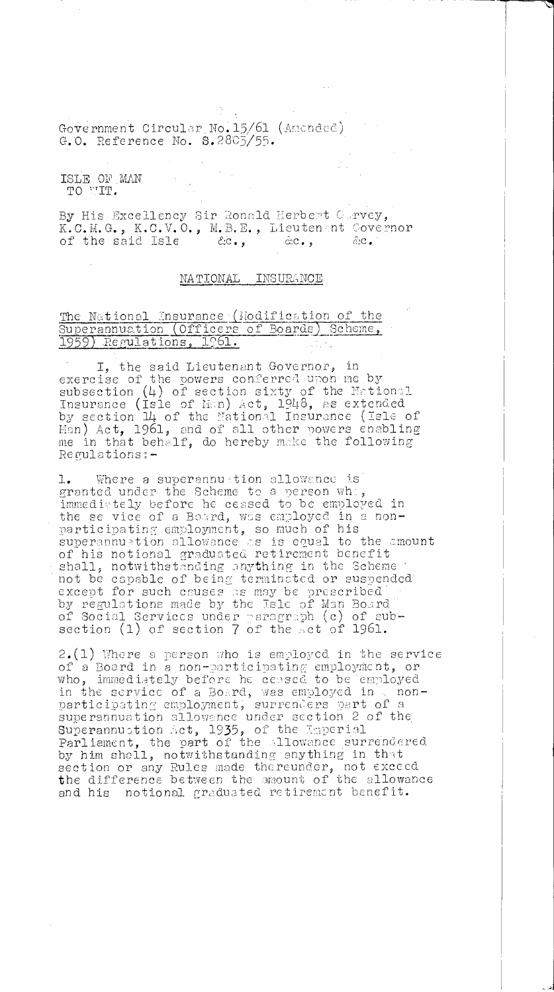Government Circular No. 15/61 (Amended) G.O. Reference No. 5.2803/55.

ISLE OF MAN TO VIT.

By His Excellency Sir Ronald Herbert Corvey, K.C.M.G., K.C.V.O., M.B.E., Lieuten nt Covernor<br>of the said Isle 2.c., 2.c., 2.c. of the said Isle

## NATIONAL INSURANCE

## The National Insurance (Hodification of the Superannuation (Officers of Boards) Scheme,  $1959)$  Regulations,  $1961$ .

I, the said Lieutenant Governor, in exercise of the powers conferred upon me by subsection (4) of section sixty of the National Insurance (Isle of Tian) Act, 1948, as extended by section 14 of the National Insurance (Isle of Han) Act, 1961, and of all other powers enabling me in that behalf, do hereby make the following Regulations:—

Where a superannustion allowance is granted under the Scheme to a person whi, immediately before he ceased to be employed in the se vice of a Board, was employed in a nonparticipating employment, so much of his superannuation allowance as is equal to the amount of his notional graduated retirement benefit shall, notwithstanding anything in the Scheme not be capable of being terminated or suspended except for such causes as may be prescribed by regulations made by the Isle of Man Board of Social Services under paragraph (c) of subsection  $(1)$  of section  $7$  of the sct of 1961.

2.(1) Where a person who is employed in the service of a Board in a non—participating employment, or who, immediately before he ceased to be employed in the service of a Board, was employed in  $\Box$  nonparticipating employment, surrenders part of a superannuation allowance under section 2 of the Superannuation Act, 1935, of the Emperial Parliament, the part of the allowance surrendered by him shall, notwithstunding anything in that section or any Rules made thereunder, not exceed the difference between the amount of the allowance and his notional graduated retirement benefit.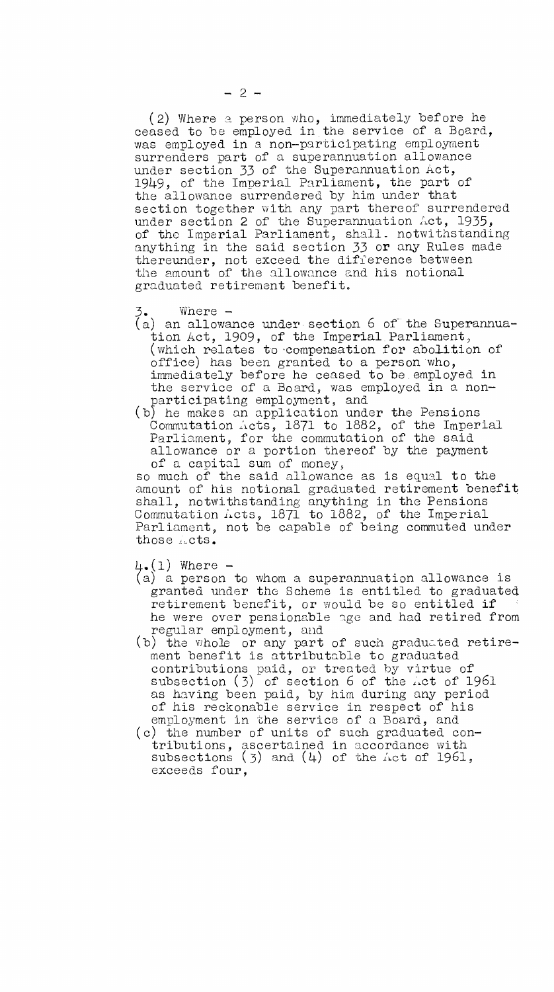(2) Where a person who, immediately before he ceased to be employed in the. service of a Board, was employed in a non-participating employment surrenders part of a superannuation allowance under section 33 of the Superannuation Act, 1949, of the Imperial Parliament, the part of the allowance surrendered by him under that section together with any part thereof surrendered under section 2 of the Superannuation Act, 1935, of the Imperial Parliament, shall. notwithstanding anything in the said section 33 or any Rules made thereunder, not exceed the difference between the amount of the allowance and his notional graduated retirement benefit.

 $\zeta$ . Where  $-$ 

- (a) an allowance under section 6 of the Superannuation Act, 1909, of the Imperial. Parliament, (which relates to-compensation for abolition of office) has been granted to a person who, immediately before he ceased to be employed in the service of a Board, was employed in a nonparticipating employment, and
- (b) he makes an application under the Pensions Commutation Acts, 1871 to 1882, of the Imperial Parliament, for the commutation of the said allowance or a portion thereof by the payment of a capital sum of money,

so much of the said allowance as is equal to the amount of his notional graduated retirement benefit shall, notwithstanding anything in the Pensions Commutation  $\tilde{\Lambda}$ cts, 1871 to 1882, of the Imperial Parliament, not be capable of being commuted under those *acts*.

 $4.1)$  Where  $-$ 

- (a) a person to whom a superannuation allowance is granted under the Scheme is entitled to graduated retirement benefit, or would be so entitled if he were over pensionable age and had retired from regular employment, and
- (b) the whole or any part of such graduated retirement benefit is attributable to graduated contributions paid, or treated by virtue of subsection  $(3)$  of section 6 of the *net* of 1961 as having been paid, by him during any period of his reckonable service in respect of his employment in the service of a Board, and
- (c) the number of units of such graduated contributions, ascertained in accordance with subsections  $(3)$  and  $(4)$  of the Act of 1961, exceeds four,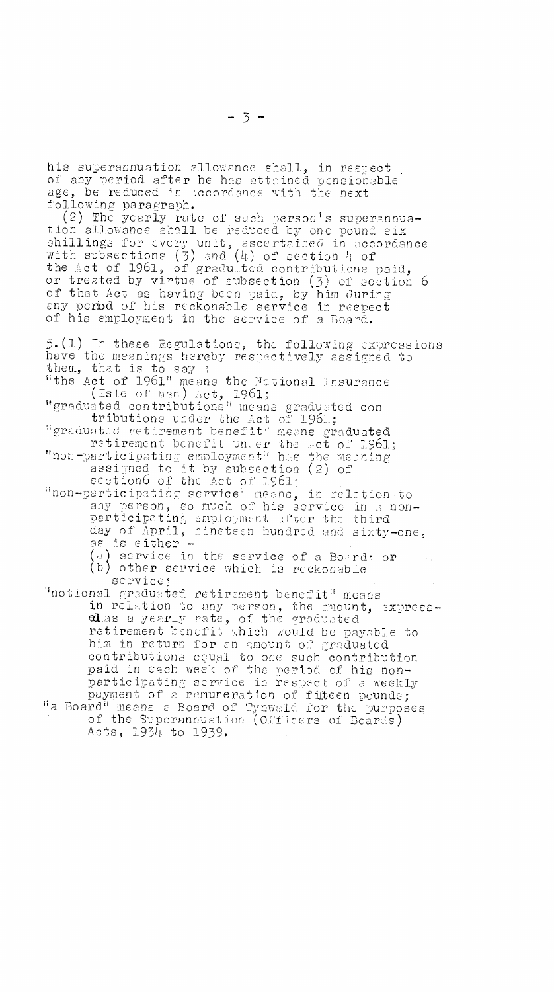his superannuation allowance shall, in respect of any period after he has attained pensionable age, be reduced in secordance with the next following paragraph.

(2) The yearly rate of such person's superannuation allowance shall be reduced by one pound six shillings for every unit, ascertained in accordance with subsections (3) and (4) of section 4 of the Act of 1961, of graduated contributions paid, or treated by virtue of subsection (3) of section 6 of that Act as having been paid, by him during any perbd of his reckonable service in respect of his employment in the service of a Board.

 $5. (1)$  In these Regulations, the following expressions have the meanings hereby respectively assigned to them, that is to say "the Act of 1961" means the 7ational Insurance (Isle of Man)  $\text{Act}$ , 1961; "graduated contributions" means graduated con tributions under the Act of 1961; "graduated retirement benefit" means graduated retirement benefit under the Act of 1961; "non—participating employment' has the meaning assigned to it by subsection (2) of section6 of the Act of  $1961$ ; "non—participting service" means, in relation to any person, so much of his service in a nonparticipating employment after the third day of April, nineteen hundred and sixty—one, as is either service in the service of a Board: or b) other service which is reckonable service; 'notional graduated retirement benefit' means in relation to any person, the amount, expressed as a yearly rate, of the graduated retirement benefit which would be payable to him in return for an amount of graduated contributions equal to one such contribution paid in each week of the period of his nonparticipating service in respect of a weekly payment of a remuneration of fifteen pounds; "a Board" means a Board of Tynwald for the purposes of the 9uperannuation (Officers of Boards) Acts, 1934 to 1939.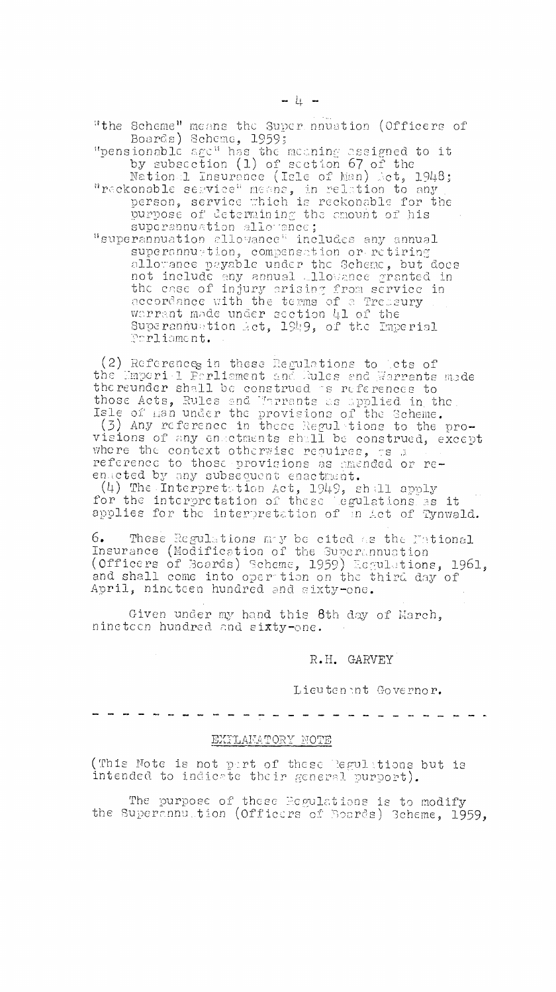"the Scheme" means the Super numerion (Officers of<br>Boards) Scheme, 1959;<br>"pensionable age" has the meaning assigned to it<br>by subsection (1) of section 67 of the<br>National Insurance (Isle of Man) Act, 1948;

"reckonable service" means, in relation to any person, service which is reckonable for the purpose of determining the enount of his superannuation allowance;

"superannuation allowance" includes any annual superannuetion, compensation or retiring allowance payable under the Scheme, but does<br>not include any annual allowance granted in<br>the case of injury arising from service in accordance with the terms of a Tressury warrant made under section 41 of the Superannuation Act, 1949, of the Imperial Parliament.

(2) References in these Regulations to lets of<br>the Emperi 1 Ferliament and Rules and Warrants made the reunder shall be construed as references to those Acts, Rules and Marrants as applied in the<br>Isle of man under the provisions of the Scheme. (3) Any reference in these Regulations to the provisions of any enactments shall be construed, except where the context otherwise requires, as a reference to those provisions as amended or reenacted by any subsequent enactment.

(4) The Interpretation Act, 1949, shall apply<br>for the interpretation of these legulations as it<br>applies for the interpretation of an Act of Tynwald.

6. These Regulations may be cited as the Fational Insurance (Modification of the Superannuation (Officers of Boards) Scheme, 1959) Esgulations, 1961, and shall come into oper tion on the third day of April, nincteen hundred and sixty-one.

Given under my hand this 8th day of March, ninetcen hundred and sixty-one.

## R.H. GARVEY

Lieutenant Governor.

## EXFLAMATORY NOTE

(This Note is not part of these Regulations but is intended to indicate their general purport).

The purpose of these Edgulations is to modify<br>the Superannultion (Officers of Boards) 3cheme, 1959,